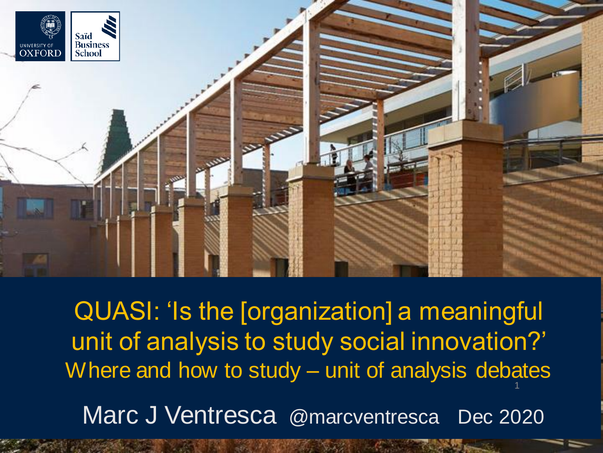

QUASI: 'Is the [organization] a meaningful unit of analysis to study social innovation?' Where and how to study – unit of analysis debates Marc J Ventresca @marcventresca Dec 2020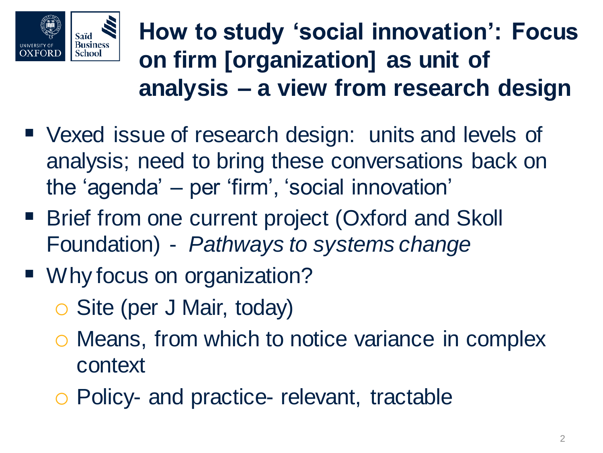

**How to study 'social innovation': Focus on firm [organization] as unit of analysis – a view from research design**

- Vexed issue of research design: units and levels of analysis; need to bring these conversations back on the 'agenda' – per 'firm', 'social innovation'
- Brief from one current project (Oxford and Skoll Foundation) - *Pathways to systems change*
- Why focus on organization?
	- o Site (per J Mair, today)
	- o Means, from which to notice variance in complex context
	- o Policy- and practice- relevant, tractable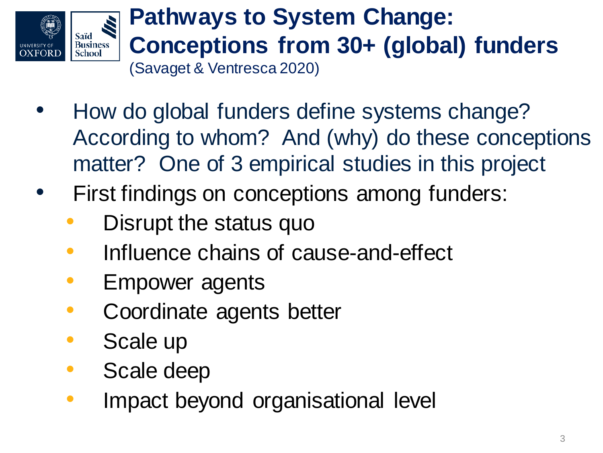

## **Pathways to System Change: Conceptions from 30+ (global) funders**  (Savaget & Ventresca 2020)

- How do global funders define systems change? According to whom? And (why) do these conceptions matter? One of 3 empirical studies in this project
- First findings on conceptions among funders:
	- Disrupt the status quo
	- Influence chains of cause-and-effect
	- Empower agents
	- Coordinate agents better
	- Scale up
	- Scale deep
	- Impact beyond organisational level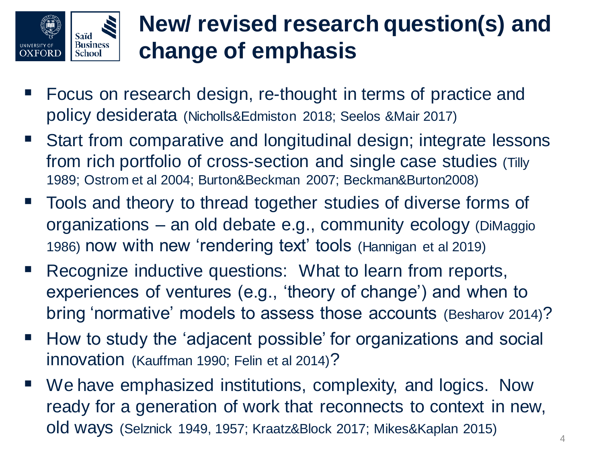

## **New/ revised research question(s) and change of emphasis**

- Focus on research design, re-thought in terms of practice and policy desiderata (Nicholls&Edmiston 2018; Seelos &Mair 2017)
- Start from comparative and longitudinal design; integrate lessons from rich portfolio of cross-section and single case studies (Tilly 1989; Ostrom et al 2004; Burton&Beckman 2007; Beckman&Burton2008)
- Tools and theory to thread together studies of diverse forms of organizations – an old debate e.g., community ecology (DiMaggio 1986) now with new 'rendering text' tools (Hannigan et al 2019)
- Recognize inductive questions: What to learn from reports, experiences of ventures (e.g., 'theory of change') and when to bring 'normative' models to assess those accounts (Besharov 2014)?
- How to study the 'adjacent possible' for organizations and social innovation (Kauffman 1990; Felin et al 2014)?
- We have emphasized institutions, complexity, and logics. Now ready for a generation of work that reconnects to context in new, old ways (Selznick 1949, 1957; Kraatz&Block 2017; Mikes&Kaplan 2015)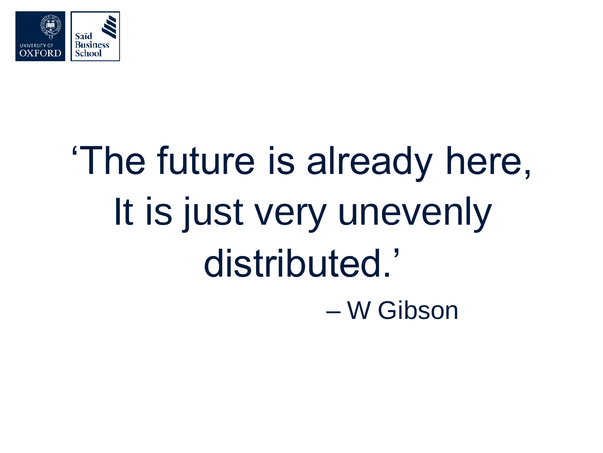

## 'The future is already here, It is just very unevenly distributed.' – W Gibson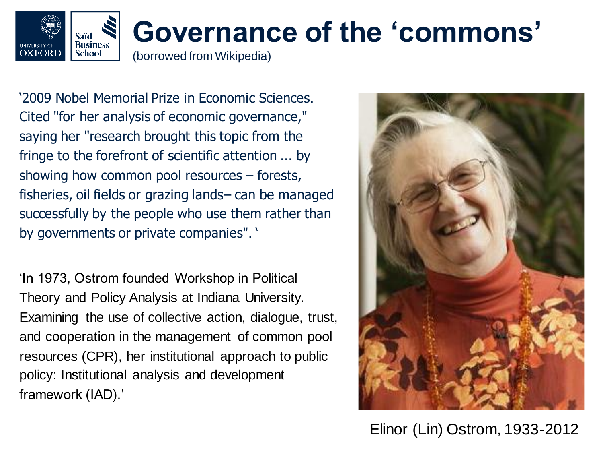

'2009 Nobel Memorial Prize in Economic Sciences. Cited "for her analysis of economic governance," saying her "research brought this topic from the fringe to the forefront of scientific attention ... by showing how common pool resources – forests, fisheries, oil fields or grazing lands– can be managed successfully by the people who use them rather than by governments or private companies". '

'In 1973, Ostrom founded Workshop in Political Theory and Policy Analysis at Indiana University. Examining the use of collective action, dialogue, trust, and cooperation in the management of common pool resources (CPR), her institutional approach to public policy: Institutional analysis and development framework (IAD).'



Elinor (Lin) Ostrom, 1933-2012